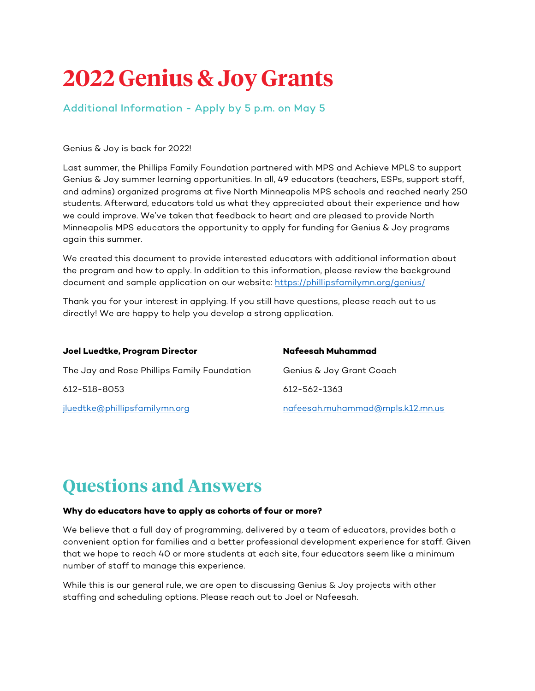# **2022 Genius & Joy Grants**

Additional Information - Apply by 5 p.m. on May 5

#### Genius & Joy is back for 2022!

Last summer, the Phillips Family Foundation partnered with MPS and Achieve MPLS to support Genius & Joy summer learning opportunities. In all, 49 educators (teachers, ESPs, support staff, and admins) organized programs at five North Minneapolis MPS schools and reached nearly 250 students. Afterward, educators told us what they appreciated about their experience and how we could improve. We've taken that feedback to heart and are pleased to provide North Minneapolis MPS educators the opportunity to apply for funding for Genius & Joy programs again this summer.

We created this document to provide interested educators with additional information about the program and how to apply. In addition to this information, please review the background document and sample application on our website:<https://phillipsfamilymn.org/genius/>

Thank you for your interest in applying. If you still have questions, please reach out to us directly! We are happy to help you develop a strong application.

| Joel Luedtke, Program Director              | Nafeesah Muhammad                |
|---------------------------------------------|----------------------------------|
| The Jay and Rose Phillips Family Foundation | Genius & Joy Grant Coach         |
| 612-518-8053                                | 612-562-1363                     |
| <u>iluedtke@phillipsfamilymn.org</u>        | nafeesah.muhammad@mpls.k12.mn.us |

# **Questions and Answers**

#### **Why do educators have to apply as cohorts of four or more?**

We believe that a full day of programming, delivered by a team of educators, provides both a convenient option for families and a better professional development experience for staff. Given that we hope to reach 40 or more students at each site, four educators seem like a minimum number of staff to manage this experience.

While this is our general rule, we are open to discussing Genius & Joy projects with other staffing and scheduling options. Please reach out to Joel or Nafeesah.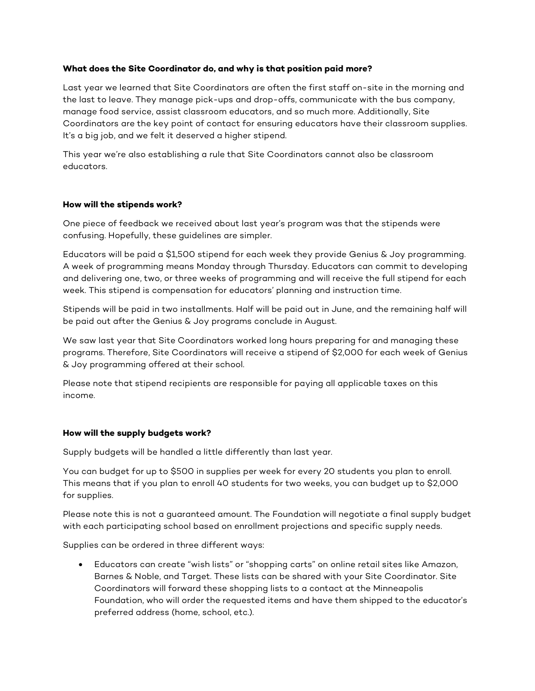#### **What does the Site Coordinator do, and why is that position paid more?**

Last year we learned that Site Coordinators are often the first staff on-site in the morning and the last to leave. They manage pick-ups and drop-offs, communicate with the bus company, manage food service, assist classroom educators, and so much more. Additionally, Site Coordinators are the key point of contact for ensuring educators have their classroom supplies. It's a big job, and we felt it deserved a higher stipend.

This year we're also establishing a rule that Site Coordinators cannot also be classroom educators.

## **How will the stipends work?**

One piece of feedback we received about last year's program was that the stipends were confusing. Hopefully, these guidelines are simpler.

Educators will be paid a \$1,500 stipend for each week they provide Genius & Joy programming. A week of programming means Monday through Thursday. Educators can commit to developing and delivering one, two, or three weeks of programming and will receive the full stipend for each week. This stipend is compensation for educators' planning and instruction time.

Stipends will be paid in two installments. Half will be paid out in June, and the remaining half will be paid out after the Genius & Joy programs conclude in August.

We saw last year that Site Coordinators worked long hours preparing for and managing these programs. Therefore, Site Coordinators will receive a stipend of \$2,000 for each week of Genius & Joy programming offered at their school.

Please note that stipend recipients are responsible for paying all applicable taxes on this income.

#### **How will the supply budgets work?**

Supply budgets will be handled a little differently than last year.

You can budget for up to \$500 in supplies per week for every 20 students you plan to enroll. This means that if you plan to enroll 40 students for two weeks, you can budget up to \$2,000 for supplies.

Please note this is not a guaranteed amount. The Foundation will negotiate a final supply budget with each participating school based on enrollment projections and specific supply needs.

Supplies can be ordered in three different ways:

• Educators can create "wish lists" or "shopping carts" on online retail sites like Amazon, Barnes & Noble, and Target. These lists can be shared with your Site Coordinator. Site Coordinators will forward these shopping lists to a contact at the Minneapolis Foundation, who will order the requested items and have them shipped to the educator's preferred address (home, school, etc.).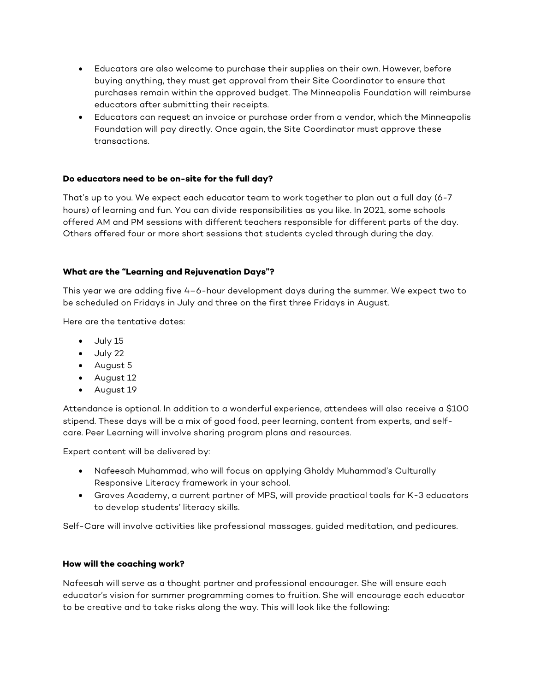- Educators are also welcome to purchase their supplies on their own. However, before buying anything, they must get approval from their Site Coordinator to ensure that purchases remain within the approved budget. The Minneapolis Foundation will reimburse educators after submitting their receipts.
- Educators can request an invoice or purchase order from a vendor, which the Minneapolis Foundation will pay directly. Once again, the Site Coordinator must approve these transactions.

## **Do educators need to be on-site for the full day?**

That's up to you. We expect each educator team to work together to plan out a full day (6-7 hours) of learning and fun. You can divide responsibilities as you like. In 2021, some schools offered AM and PM sessions with different teachers responsible for different parts of the day. Others offered four or more short sessions that students cycled through during the day.

#### **What are the "Learning and Rejuvenation Days"?**

This year we are adding five 4–6-hour development days during the summer. We expect two to be scheduled on Fridays in July and three on the first three Fridays in August.

Here are the tentative dates:

- July 15
- July 22
- August 5
- August 12
- August 19

Attendance is optional. In addition to a wonderful experience, attendees will also receive a \$100 stipend. These days will be a mix of good food, peer learning, content from experts, and selfcare. Peer Learning will involve sharing program plans and resources.

Expert content will be delivered by:

- Nafeesah Muhammad, who will focus on applying Gholdy Muhammad's Culturally Responsive Literacy framework in your school.
- Groves Academy, a current partner of MPS, will provide practical tools for K-3 educators to develop students' literacy skills.

Self-Care will involve activities like professional massages, guided meditation, and pedicures.

#### **How will the coaching work?**

Nafeesah will serve as a thought partner and professional encourager. She will ensure each educator's vision for summer programming comes to fruition. She will encourage each educator to be creative and to take risks along the way. This will look like the following: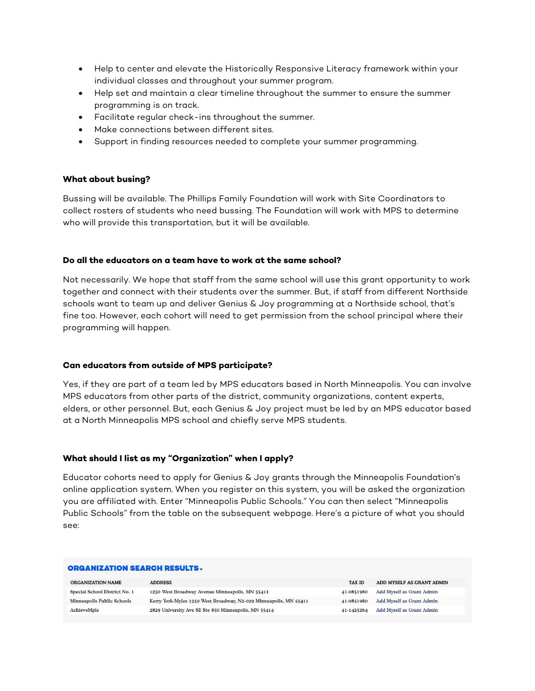- Help to center and elevate the Historically Responsive Literacy framework within your individual classes and throughout your summer program.
- Help set and maintain a clear timeline throughout the summer to ensure the summer programming is on track.
- Facilitate regular check-ins throughout the summer.
- Make connections between different sites.
- Support in finding resources needed to complete your summer programming.

#### **What about busing?**

Bussing will be available. The Phillips Family Foundation will work with Site Coordinators to collect rosters of students who need bussing. The Foundation will work with MPS to determine who will provide this transportation, but it will be available.

#### **Do all the educators on a team have to work at the same school?**

Not necessarily. We hope that staff from the same school will use this grant opportunity to work together and connect with their students over the summer. But, if staff from different Northside schools want to team up and deliver Genius & Joy programming at a Northside school, that's fine too. However, each cohort will need to get permission from the school principal where their programming will happen.

#### **Can educators from outside of MPS participate?**

Yes, if they are part of a team led by MPS educators based in North Minneapolis. You can involve MPS educators from other parts of the district, community organizations, content experts, elders, or other personnel. But, each Genius & Joy project must be led by an MPS educator based at a North Minneapolis MPS school and chiefly serve MPS students.

#### **What should I list as my "Organization" when I apply?**

Educator cohorts need to apply for Genius & Joy grants through the Minneapolis Foundation's online application system. When you register on this system, you will be asked the organization you are affiliated with. Enter "Minneapolis Public Schools." You can then select "Minneapolis Public Schools" from the table on the subsequent webpage. Here's a picture of what you should see:

#### **ORGANIZATION SEARCH RESULTS.**

| <b>ORGANIZATION NAME</b>      | <b>ADDRESS</b>                                                    | <b>TAX ID</b> | ADD MYSELF AS GRANT ADMIN |
|-------------------------------|-------------------------------------------------------------------|---------------|---------------------------|
| Special School District No. 1 | 1250 West Broadway Avenue Minneapolis, MN 55411                   | 41-0851980    | Add Myself as Grant Admin |
| Minneapolis Public Schools    | Kerry York-Myles 1250 West Broadway, N2-029 Minneapolis, MN 55411 | 41-0851980    | Add Myself as Grant Admin |
| AchieveMpls                   | 2829 University Ave SE Ste 850 Minneapolis, MN 55414              | 41-1425264    | Add Myself as Grant Admin |